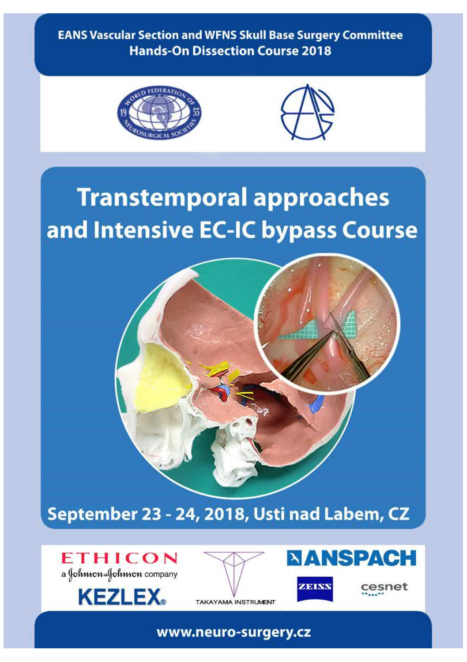**EANS Vascular Section and WFNS Skull Base Surgery Committee Hands-On Dissection Course 2018** 





## **Transtemporal approaches** and Intensive EC-IC bypass Course



September 23 - 24, 2018, Usti nad Labem, CZ







www.neuro-surgery.cz

TAKAYAMA INSTRUMENT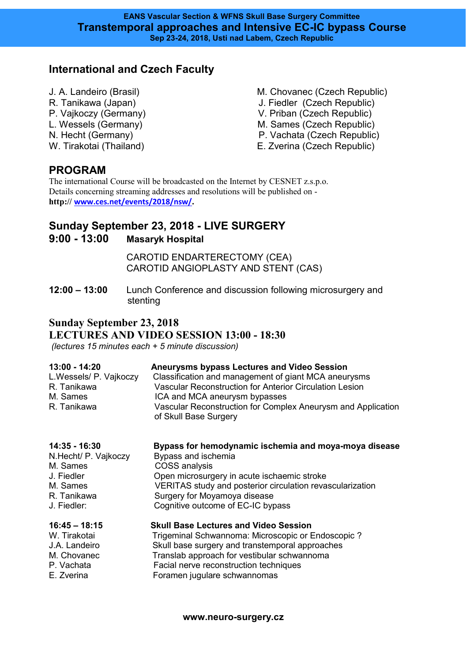## **International and Czech Faculty**

- J. A. Landeiro (Brasil) (and the M. Chovanec (Czech Republic) (Czech Republic) (and Tanita West Czech Republic) R. Tanikawa (Japan) J. Fiedler (Czech Republic)
	-
	-
	- V. Priban (Czech Republic)
- L. Wessels (Germany) and the M. Sames (Czech Republic)
- N. Hecht (Germany) P. Vachata (Czech Republic)
- W. Tirakotai (Thailand) **E. Zverina (Czech Republic)**

#### **PROGRAM**

The international Course will be broadcasted on the Internet by CESNET z.s.p.o. Details concerning streaming addresses and resolutions will be published on **http:// [www.ces.net/events/2018/nsw/](http://www.ces.net/events/2015/nsw/).**

## **Sunday September 23, 2018 - LIVE SURGERY**

#### **9:00 - 13:00 Masaryk Hospital**

CAROTID ENDARTERECTOMY (CEA) CAROTID ANGIOPLASTY AND STENT (CAS)

**12:00 – 13:00** Lunch Conference and discussion following microsurgery and stenting

#### **Sunday September 23, 2018 LECTURES AND VIDEO SESSION 13:00 - 18:30**

*(lectures 15 minutes each + 5 minute discussion)*

| 13:00 - 14:20          | Aneurysms bypass Lectures and Video Session                                           |
|------------------------|---------------------------------------------------------------------------------------|
| L.Wessels/ P. Vajkoczy | Classification and management of giant MCA aneurysms                                  |
| R. Tanikawa            | Vascular Reconstruction for Anterior Circulation Lesion                               |
| M. Sames               | ICA and MCA aneurysm bypasses                                                         |
| R. Tanikawa            | Vascular Reconstruction for Complex Aneurysm and Application<br>of Skull Base Surgery |

| 14:35 - 16:30        | Bypass for hemodynamic ischemia and moya-moya disease     |  |  |
|----------------------|-----------------------------------------------------------|--|--|
| N.Hecht/ P. Vajkoczy | Bypass and ischemia                                       |  |  |
| M. Sames             | COSS analysis                                             |  |  |
| J. Fiedler           | Open microsurgery in acute ischaemic stroke               |  |  |
| M. Sames             | VERITAS study and posterior circulation revascularization |  |  |
| R. Tanikawa          | Surgery for Moyamoya disease                              |  |  |
| J. Fiedler:          | Cognitive outcome of EC-IC bypass                         |  |  |
| $16:45 - 18:15$      | <b>Skull Base Lectures and Video Session</b>              |  |  |
| W. Tirakotai         | Trigeminal Schwannoma: Microscopic or Endoscopic?         |  |  |
| J.A. Landeiro        | Skull base surgery and transtemporal approaches           |  |  |
| M. Chovanec          | Translab approach for vestibular schwannoma               |  |  |
| P. Vachata           | Facial nerve reconstruction techniques                    |  |  |
| F Zverina            | Foramen jugulare schwannomas                              |  |  |

Foramen jugulare schwannomas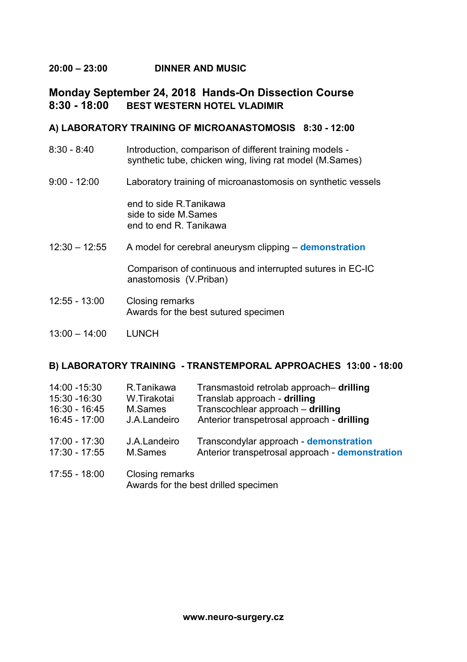#### **20:00 – 23:00 DINNER AND MUSIC**

#### **Monday September 24, 2018 Hands-On Dissection Course 8:30 - 18:00 BEST WESTERN HOTEL VLADIMIR**

#### **A) LABORATORY TRAINING OF MICROANASTOMOSIS 8:30 - 12:00**

- 8:30 8:40 Introduction, comparison of different training models synthetic tube, chicken wing, living rat model (M.Sames) 9:00 - 12:00 Laboratory training of microanastomosis on synthetic vessels end to side R.Tanikawa side to side M.Sames end to end R. Tanikawa 12:30 – 12:55 A model for cerebral aneurysm clipping – **demonstration** Comparison of continuous and interrupted sutures in EC-IC
- 12:55 13:00 Closing remarks Awards for the best sutured specimen

anastomosis (V.Priban)

 $13:00 - 14:00$  LUNCH

#### **B) LABORATORY TRAINING - TRANSTEMPORAL APPROACHES 13:00 - 18:00**

| 14:00 -15:30  | R.Tanikawa      | Transmastoid retrolab approach- drilling        |
|---------------|-----------------|-------------------------------------------------|
| 15:30 - 16:30 | W.Tirakotai     | Translab approach - drilling                    |
| 16:30 - 16:45 | M.Sames         | Transcochlear approach - drilling               |
| 16:45 - 17:00 | J.A.Landeiro    | Anterior transpetrosal approach - drilling      |
| 17:00 - 17:30 | J.A.Landeiro    | Transcondylar approach - demonstration          |
| 17:30 - 17:55 | M.Sames         | Anterior transpetrosal approach - demonstration |
| 17:55 - 18:00 | Closing remarks | Awards for the best drilled specimen            |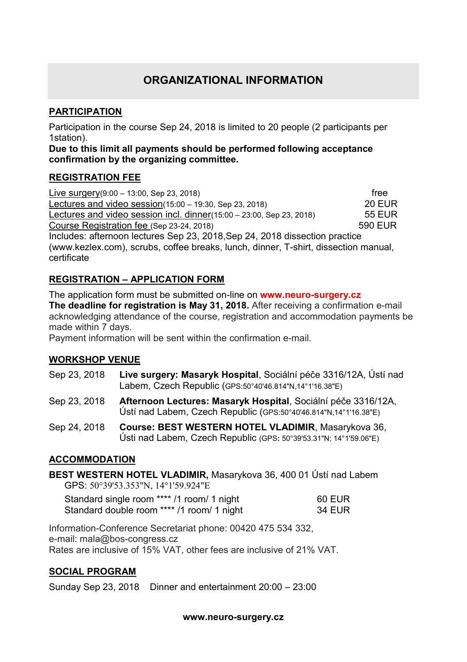## **ORGANIZATIONAL INFORMATION**

#### **PARTICIPATION**

Participation in the course Sep 24, 2018 is limited to 20 people (2 participants per 1station).

**Due to this limit all payments should be performed following acceptance confirmation by the organizing committee.** 

#### **REGISTRATION FEE**

 $Live surgery(9:00 - 13:00, Sep 23, 2018)$  free<br>
Lectures and video session(15:00 – 19:30, Sep 23, 2018) **from** 20 FLIR</u> Lectures and video session(15:00 – 19:30, Sep 23, 2018) 20 EUR<br>Lectures and video session incl. dinner(15:00 – 23:00, Sep 23, 2018) 55 EUR Lectures and video session incl. dinner(15:00 – 23:00, Sep 23, 2018) 55 EUR<br>Course Registration fee (Sep 23-24, 2018) 590 FUR Course Registration fee (Sep 23-24, 2018) Includes: afternoon lectures Sep 23, 2018,Sep 24, 2018 dissection practice (www.kezlex.com), scrubs, coffee breaks, lunch, dinner, T-shirt, dissection manual, certificate

#### **REGISTRATION – APPLICATION FORM**

The application form must be submitted on-line on **[www.n](http://www.cens2012.com/)euro-surgery.cz The deadline for registration is May 31, 2018.** After receiving a confirmation e-mail acknowledging attendance of the course, registration and accommodation payments be made within 7 days.

Payment information will be sent within the confirmation e-mail.

#### **WORKSHOP VENUE**

- Sep 23, 2018 **Live surgery: Masaryk Hospital**, Sociální péče 3316/12A, Ústí nad Labem, Czech Republic (GPS:50°40'46.814"N,14°1'16.38"E)
- Sep 23, 2018 **Afternoon Lectures: Masaryk Hospital**, Sociální péče 3316/12A, Ústí nad Labem, Czech Republic (GPS:50°40'46.814"N,14°1'16.38"E)
- Sep 24, 2018 **Course: BEST WESTERN HOTEL VLADIMIR**, Masarykova 36, Ústi nad Labem, Czech Republic (GPS**:** 50°39'53.31"N; 14°1'59.06"E)

#### **ACCOMMODATION**

**BEST WESTERN HOTEL VLADIMIR,** Masarykova 36, 400 01 Ústí nad Labem GPS: [50°39'53.353"N, 14°1'59.924"E](http://www.mapy.cz/zakladni?x=14.0330989&y=50.6648770&z=15&source=firm&id=2649577)

| Standard single room **** /1 room/ 1 night | 60 EUR |
|--------------------------------------------|--------|
| Standard double room **** /1 room/ 1 night | 34 EUR |

Information-Conference Secretariat phone: 00420 475 534 332, e-mail: mala@bos-congress.cz Rates are inclusive of 15% VAT, other fees are inclusive of 21% VAT.

#### **SOCIAL PROGRAM**

Sunday Sep 23, 2018 Dinner and entertainment 20:00 – 23:00